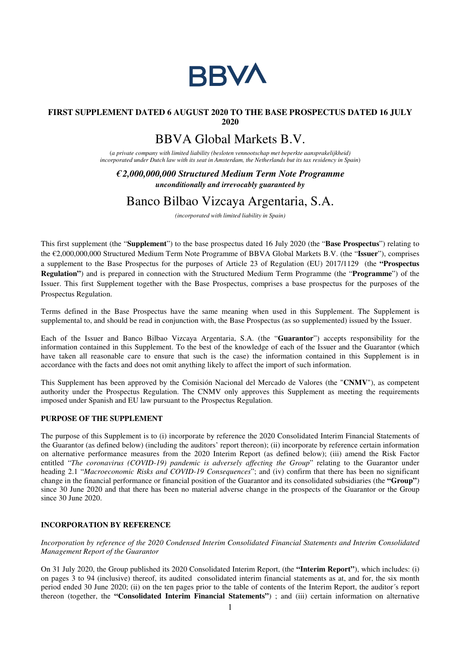

## **FIRST SUPPLEMENT DATED 6 AUGUST 2020 TO THE BASE PROSPECTUS DATED 16 JULY 2020**

# BBVA Global Markets B.V.

(*a private company with limited liability (besloten vennootschap met beperkte aansprakelijkheid) incorporated under Dutch law with its seat in Amsterdam, the Netherlands but its tax residency in Spain*)

*€ 2,000,000,000 Structured Medium Term Note Programme unconditionally and irrevocably guaranteed by*

## Banco Bilbao Vizcaya Argentaria, S.A.

*(incorporated with limited liability in Spain)* 

This first supplement (the "**Supplement**") to the base prospectus dated 16 July 2020 (the "**Base Prospectus**") relating to the €2,000,000,000 Structured Medium Term Note Programme of BBVA Global Markets B.V. (the "**Issuer**"), comprises a supplement to the Base Prospectus for the purposes of Article 23 of Regulation (EU) 2017/1129 (the **"Prospectus Regulation"**) and is prepared in connection with the Structured Medium Term Programme (the "**Programme**") of the Issuer. This first Supplement together with the Base Prospectus, comprises a base prospectus for the purposes of the Prospectus Regulation.

Terms defined in the Base Prospectus have the same meaning when used in this Supplement. The Supplement is supplemental to, and should be read in conjunction with, the Base Prospectus (as so supplemented) issued by the Issuer.

Each of the Issuer and Banco Bilbao Vizcaya Argentaria, S.A. (the "**Guarantor**") accepts responsibility for the information contained in this Supplement. To the best of the knowledge of each of the Issuer and the Guarantor (which have taken all reasonable care to ensure that such is the case) the information contained in this Supplement is in accordance with the facts and does not omit anything likely to affect the import of such information.

This Supplement has been approved by the Comisión Nacional del Mercado de Valores (the "**CNMV**"), as competent authority under the Prospectus Regulation. The CNMV only approves this Supplement as meeting the requirements imposed under Spanish and EU law pursuant to the Prospectus Regulation.

### **PURPOSE OF THE SUPPLEMENT**

The purpose of this Supplement is to (i) incorporate by reference the 2020 Consolidated Interim Financial Statements of the Guarantor (as defined below) (including the auditors' report thereon); (ii) incorporate by reference certain information on alternative performance measures from the 2020 Interim Report (as defined below); (iii) amend the Risk Factor entitled "*The coronavirus (COVID-19) pandemic is adversely affecting the Group*" relating to the Guarantor under heading 2.1 "*Macroeconomic Risks and COVID-19 Consequences*"; and (iv) confirm that there has been no significant change in the financial performance or financial position of the Guarantor and its consolidated subsidiaries (the **"Group"**) since 30 June 2020 and that there has been no material adverse change in the prospects of the Guarantor or the Group since 30 June 2020.

#### **INCORPORATION BY REFERENCE**

*Incorporation by reference of the 2020 Condensed Interim Consolidated Financial Statements and Interim Consolidated Management Report of the Guarantor*

On 31 July 2020, the Group published its 2020 Consolidated Interim Report, (the **"Interim Report"**), which includes: (i) on pages 3 to 94 (inclusive) thereof, its audited consolidated interim financial statements as at, and for, the six month period ended 30 June 2020; (ii) on the ten pages prior to the table of contents of the Interim Report, the auditor´s report thereon (together, the **"Consolidated Interim Financial Statements"**) ; and (iii) certain information on alternative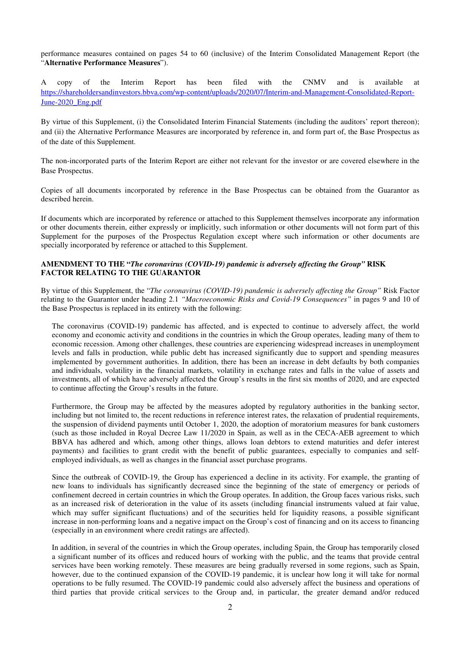performance measures contained on pages 54 to 60 (inclusive) of the Interim Consolidated Management Report (the "**Alternative Performance Measures**").

A copy of the Interim Report has been filed with the CNMV and is available at https://shareholdersandinvestors.bbva.com/wp-content/uploads/2020/07/Interim-and-Management-Consolidated-Report-June-2020\_Eng.pdf

By virtue of this Supplement, (i) the Consolidated Interim Financial Statements (including the auditors' report thereon); and (ii) the Alternative Performance Measures are incorporated by reference in, and form part of, the Base Prospectus as of the date of this Supplement.

The non-incorporated parts of the Interim Report are either not relevant for the investor or are covered elsewhere in the Base Prospectus.

Copies of all documents incorporated by reference in the Base Prospectus can be obtained from the Guarantor as described herein.

If documents which are incorporated by reference or attached to this Supplement themselves incorporate any information or other documents therein, either expressly or implicitly, such information or other documents will not form part of this Supplement for the purposes of the Prospectus Regulation except where such information or other documents are specially incorporated by reference or attached to this Supplement.

#### **AMENDMENT TO THE "***The coronavirus (COVID-19) pandemic is adversely affecting the Group"* **RISK FACTOR RELATING TO THE GUARANTOR**

By virtue of this Supplement, the "*The coronavirus (COVID-19) pandemic is adversely affecting the Group"* Risk Factor relating to the Guarantor under heading 2.1 *"Macroeconomic Risks and Covid-19 Consequences"* in pages 9 and 10 of the Base Prospectus is replaced in its entirety with the following:

The coronavirus (COVID-19) pandemic has affected, and is expected to continue to adversely affect, the world economy and economic activity and conditions in the countries in which the Group operates, leading many of them to economic recession. Among other challenges, these countries are experiencing widespread increases in unemployment levels and falls in production, while public debt has increased significantly due to support and spending measures implemented by government authorities. In addition, there has been an increase in debt defaults by both companies and individuals, volatility in the financial markets, volatility in exchange rates and falls in the value of assets and investments, all of which have adversely affected the Group's results in the first six months of 2020, and are expected to continue affecting the Group's results in the future.

Furthermore, the Group may be affected by the measures adopted by regulatory authorities in the banking sector, including but not limited to, the recent reductions in reference interest rates, the relaxation of prudential requirements, the suspension of dividend payments until October 1, 2020, the adoption of moratorium measures for bank customers (such as those included in Royal Decree Law 11/2020 in Spain, as well as in the CECA-AEB agreement to which BBVA has adhered and which, among other things, allows loan debtors to extend maturities and defer interest payments) and facilities to grant credit with the benefit of public guarantees, especially to companies and selfemployed individuals, as well as changes in the financial asset purchase programs.

Since the outbreak of COVID-19, the Group has experienced a decline in its activity. For example, the granting of new loans to individuals has significantly decreased since the beginning of the state of emergency or periods of confinement decreed in certain countries in which the Group operates. In addition, the Group faces various risks, such as an increased risk of deterioration in the value of its assets (including financial instruments valued at fair value, which may suffer significant fluctuations) and of the securities held for liquidity reasons, a possible significant increase in non-performing loans and a negative impact on the Group's cost of financing and on its access to financing (especially in an environment where credit ratings are affected).

In addition, in several of the countries in which the Group operates, including Spain, the Group has temporarily closed a significant number of its offices and reduced hours of working with the public, and the teams that provide central services have been working remotely. These measures are being gradually reversed in some regions, such as Spain, however, due to the continued expansion of the COVID-19 pandemic, it is unclear how long it will take for normal operations to be fully resumed. The COVID-19 pandemic could also adversely affect the business and operations of third parties that provide critical services to the Group and, in particular, the greater demand and/or reduced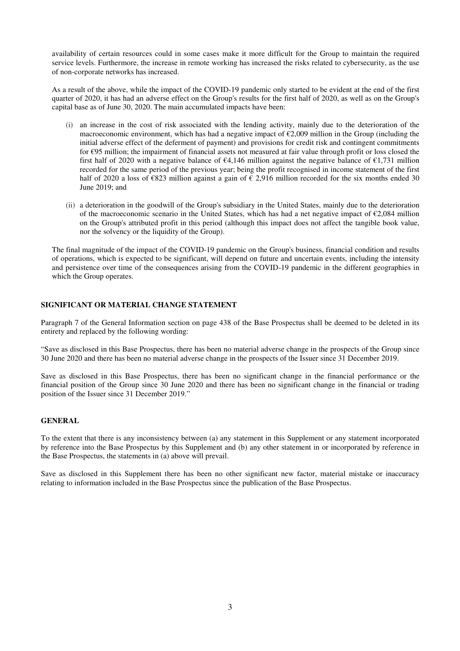availability of certain resources could in some cases make it more difficult for the Group to maintain the required service levels. Furthermore, the increase in remote working has increased the risks related to cybersecurity, as the use of non-corporate networks has increased.

As a result of the above, while the impact of the COVID-19 pandemic only started to be evident at the end of the first quarter of 2020, it has had an adverse effect on the Group's results for the first half of 2020, as well as on the Group's capital base as of June 30, 2020. The main accumulated impacts have been:

- (i) an increase in the cost of risk associated with the lending activity, mainly due to the deterioration of the macroeconomic environment, which has had a negative impact of  $\epsilon$ 2,009 million in the Group (including the initial adverse effect of the deferment of payment) and provisions for credit risk and contingent commitments for €95 million; the impairment of financial assets not measured at fair value through profit or loss closed the first half of 2020 with a negative balance of  $\epsilon$ 4,146 million against the negative balance of  $\epsilon$ 1.731 million recorded for the same period of the previous year; being the profit recognised in income statement of the first half of 2020 a loss of  $\epsilon$ 823 million against a gain of  $\epsilon$  2,916 million recorded for the six months ended 30 June 2019; and
- (ii) a deterioration in the goodwill of the Group's subsidiary in the United States, mainly due to the deterioration of the macroeconomic scenario in the United States, which has had a net negative impact of  $\epsilon$ 2,084 million on the Group's attributed profit in this period (although this impact does not affect the tangible book value, nor the solvency or the liquidity of the Group).

The final magnitude of the impact of the COVID-19 pandemic on the Group's business, financial condition and results of operations, which is expected to be significant, will depend on future and uncertain events, including the intensity and persistence over time of the consequences arising from the COVID-19 pandemic in the different geographies in which the Group operates.

#### **SIGNIFICANT OR MATERIAL CHANGE STATEMENT**

Paragraph 7 of the General Information section on page 438 of the Base Prospectus shall be deemed to be deleted in its entirety and replaced by the following wording:

"Save as disclosed in this Base Prospectus, there has been no material adverse change in the prospects of the Group since 30 June 2020 and there has been no material adverse change in the prospects of the Issuer since 31 December 2019.

Save as disclosed in this Base Prospectus, there has been no significant change in the financial performance or the financial position of the Group since 30 June 2020 and there has been no significant change in the financial or trading position of the Issuer since 31 December 2019."

#### **GENERAL**

To the extent that there is any inconsistency between (a) any statement in this Supplement or any statement incorporated by reference into the Base Prospectus by this Supplement and (b) any other statement in or incorporated by reference in the Base Prospectus, the statements in (a) above will prevail.

Save as disclosed in this Supplement there has been no other significant new factor, material mistake or inaccuracy relating to information included in the Base Prospectus since the publication of the Base Prospectus.